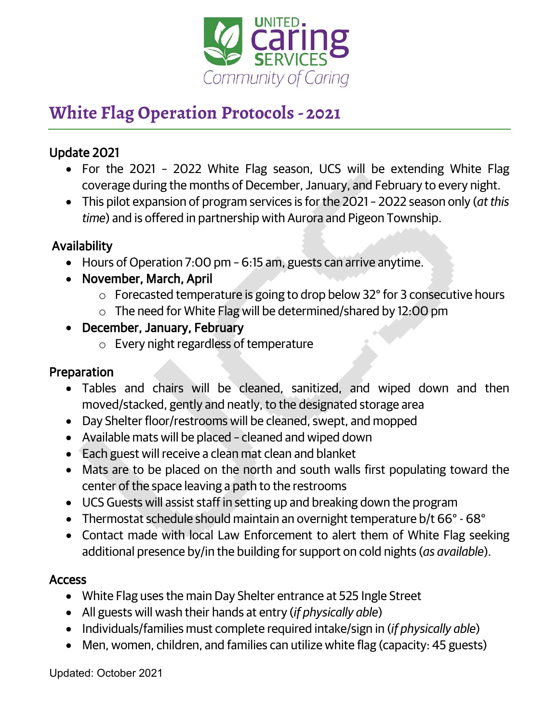

# **White Flag Operation Protocols - 2021**

## Update 2021

- For the 2021 2022 White Flag season, UCS will be extending White Flag coverage during the months of December, January, and February to every night.
- This pilot expansion of program services is for the 2021 2022 season only (*at this time*) and is offered in partnership with Aurora and Pigeon Township.

## Availability

- Hours of Operation 7:00 pm 6:15 am, guests can arrive anytime.
- November, March, April
	- o Forecasted temperature is going to drop below 32° for 3 consecutive hours
	- o The need for White Flag will be determined/shared by 12:00 pm
- December, January, February
	- o Every night regardless of temperature

## Preparation

- Tables and chairs will be cleaned, sanitized, and wiped down and then moved/stacked, gently and neatly, to the designated storage area
- Day Shelter floor/restrooms will be cleaned, swept, and mopped
- Available mats will be placed cleaned and wiped down
- Each guest will receive a clean mat clean and blanket
- Mats are to be placed on the north and south walls first populating toward the center of the space leaving a path to the restrooms
- UCS Guests will assist staff in setting up and breaking down the program
- Thermostat schedule should maintain an overnight temperature b/t 66° 68°
- Contact made with local Law Enforcement to alert them of White Flag seeking additional presence by/in the building for support on cold nights (*as available*).

## Access

- White Flag uses the main Day Shelter entrance at 525 Ingle Street
- All guests will wash their hands at entry (*if physically able*)
- Individuals/families must complete required intake/sign in (*if physically able*)
- Men, women, children, and families can utilize white flag (capacity: 45 guests)

Updated: October 2021